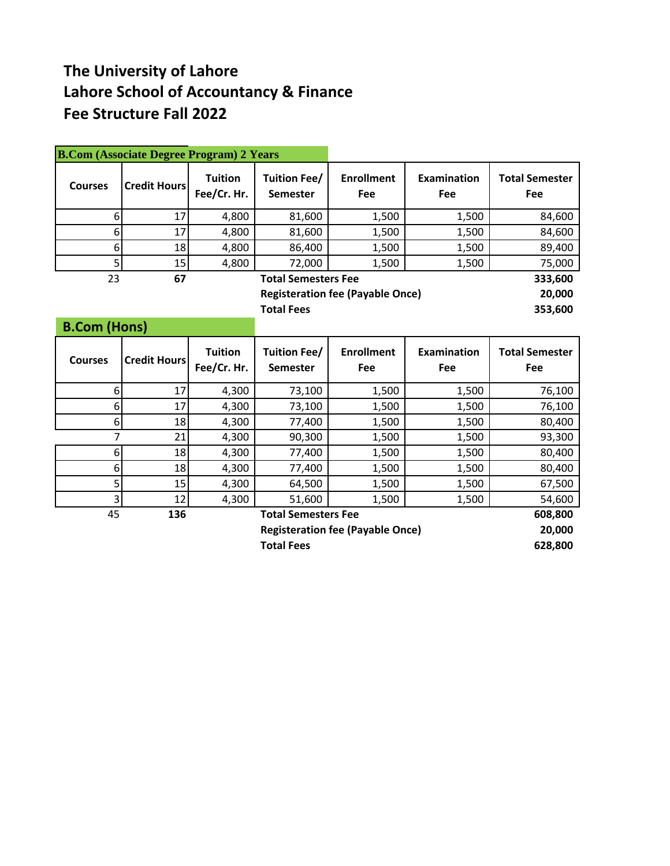## **The University of Lahore Lahore School of Accountancy & Finance Fee Structure Fall 2022**

|                     | <b>B.Com (Associate Degree Program) 2 Years</b> |                               |                                        |                                         |                           |                              |
|---------------------|-------------------------------------------------|-------------------------------|----------------------------------------|-----------------------------------------|---------------------------|------------------------------|
| <b>Courses</b>      | <b>Credit Hours</b>                             | <b>Tuition</b><br>Fee/Cr. Hr. | <b>Tuition Fee/</b><br><b>Semester</b> | <b>Enrollment</b><br>Fee                | <b>Examination</b><br>Fee | <b>Total Semester</b><br>Fee |
| 6                   | 17                                              | 4,800                         | 81,600                                 | 1,500                                   | 1,500                     | 84,600                       |
| 6                   | 17                                              | 4,800                         | 81,600                                 | 1,500                                   | 1,500                     | 84,600                       |
| 6                   | 18                                              | 4,800                         | 86,400                                 | 1,500                                   | 1,500                     | 89,400                       |
| 5                   | 15                                              | 4,800                         | 72,000                                 | 1,500                                   | 1,500                     | 75,000                       |
| 23                  | 67                                              |                               | <b>Total Semesters Fee</b>             |                                         |                           | 333,600                      |
|                     |                                                 |                               |                                        | <b>Registeration fee (Payable Once)</b> |                           | 20,000                       |
|                     |                                                 |                               | <b>Total Fees</b>                      |                                         |                           | 353,600                      |
| <b>B.Com (Hons)</b> |                                                 |                               |                                        |                                         |                           |                              |
| <b>Courses</b>      | <b>Credit Hours</b>                             | <b>Tuition</b><br>Fee/Cr. Hr. | <b>Tuition Fee/</b><br><b>Semester</b> | <b>Enrollment</b><br>Fee                | <b>Examination</b><br>Fee | <b>Total Semester</b><br>Fee |
| 6                   | 17                                              | 4,300                         | 73,100                                 | 1,500                                   | 1,500                     | 76,100                       |
| 6                   | 17                                              | 4,300                         | 73,100                                 | 1,500                                   | 1,500                     | 76,100                       |
| 6                   | 18                                              | 4,300                         | 77,400                                 | 1,500                                   | 1,500                     | 80,400                       |
| $\overline{7}$      | 21                                              | 4,300                         | 90,300                                 | 1,500                                   | 1,500                     | 93,300                       |
| 6                   | 18                                              | 4,300                         | 77,400                                 | 1,500                                   | 1,500                     | 80,400                       |
| 6                   | 18                                              | 4,300                         | 77,400                                 | 1,500                                   | 1,500                     | 80,400                       |
| 5                   | 15                                              | 4,300                         | 64,500                                 | 1,500                                   | 1,500                     | 67,500                       |
| 3                   | 12                                              | 4,300                         | 51,600                                 | 1,500                                   | 1,500                     | 54,600                       |
| 45                  | 136                                             |                               | <b>Total Semesters Fee</b>             |                                         |                           | 608,800                      |
|                     |                                                 |                               |                                        | <b>Registeration fee (Payable Once)</b> |                           | 20,000                       |
|                     |                                                 |                               | <b>Total Fees</b>                      |                                         |                           | 628,800                      |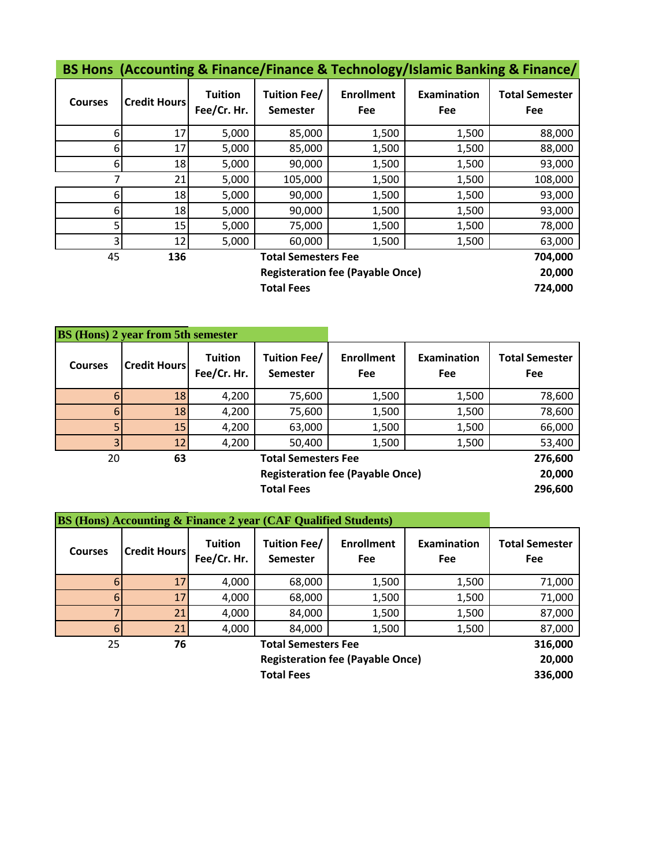| BS Hons (Accounting & Finance/Finance & Technology/Islamic Banking & Finance/ |
|-------------------------------------------------------------------------------|
|-------------------------------------------------------------------------------|

| <b>Courses</b>    | <b>Credit Hours</b> | <b>Tuition</b><br>Fee/Cr. Hr. | <b>Tuition Fee/</b><br><b>Semester</b> | <b>Enrollment</b><br><b>Fee</b>         | Examination<br>Fee | <b>Total Semester</b><br>Fee |
|-------------------|---------------------|-------------------------------|----------------------------------------|-----------------------------------------|--------------------|------------------------------|
| 6                 | 17                  | 5,000                         | 85,000                                 | 1,500                                   | 1,500              | 88,000                       |
| 6                 | 17                  | 5,000                         | 85,000                                 | 1,500                                   | 1,500              | 88,000                       |
| 6                 | 18                  | 5,000                         | 90,000                                 | 1,500                                   | 1,500              | 93,000                       |
| 7                 | 21                  | 5,000                         | 105,000                                | 1,500                                   | 1,500              | 108,000                      |
| 6                 | 18                  | 5,000                         | 90,000                                 | 1,500                                   | 1,500              | 93,000                       |
| 6                 | 18                  | 5,000                         | 90,000                                 | 1,500                                   | 1,500              | 93,000                       |
| 5                 | 15                  | 5,000                         | 75,000                                 | 1,500                                   | 1,500              | 78,000                       |
| 3                 | 12                  | 5,000                         | 60,000                                 | 1,500                                   | 1,500              | 63,000                       |
| 45                | 136                 |                               | <b>Total Semesters Fee</b>             | 704,000                                 |                    |                              |
|                   |                     |                               |                                        | <b>Registeration fee (Payable Once)</b> |                    | 20,000                       |
| <b>Total Fees</b> |                     |                               |                                        |                                         |                    | 724,000                      |

|                | <b>BS</b> (Hons) 2 year from 5th semester |                               |                                        |                                 |                           |                              |
|----------------|-------------------------------------------|-------------------------------|----------------------------------------|---------------------------------|---------------------------|------------------------------|
| <b>Courses</b> | <b>Credit Hours</b>                       | <b>Tuition</b><br>Fee/Cr. Hr. | <b>Tuition Fee/</b><br><b>Semester</b> | <b>Enrollment</b><br><b>Fee</b> | <b>Examination</b><br>Fee | <b>Total Semester</b><br>Fee |
| 6              | 18                                        | 4,200                         | 75,600                                 | 1,500                           | 1,500                     | 78,600                       |
| $6 \mid$       | 18                                        | 4,200                         | 75,600                                 | 1,500                           | 1,500                     | 78,600                       |
| 5 <sub>1</sub> | 15                                        | 4,200                         | 63,000                                 | 1,500                           | 1,500                     | 66,000                       |
| $\overline{3}$ | 12                                        | 4,200                         | 50,400                                 | 1,500                           | 1,500                     | 53,400                       |
| 20             | 63                                        |                               | <b>Total Semesters Fee</b>             |                                 |                           |                              |
|                |                                           |                               | 20,000                                 |                                 |                           |                              |
|                |                                           |                               | <b>Total Fees</b>                      |                                 |                           | 296,600                      |

| <b>BS (Hons) Accounting &amp; Finance 2 year (CAF Qualified Students)</b> |                                         |                               |                                        |                          |                    |                                     |  |
|---------------------------------------------------------------------------|-----------------------------------------|-------------------------------|----------------------------------------|--------------------------|--------------------|-------------------------------------|--|
| <b>Courses</b>                                                            | <b>Credit Hours</b>                     | <b>Tuition</b><br>Fee/Cr. Hr. | <b>Tuition Fee/</b><br><b>Semester</b> | <b>Enrollment</b><br>Fee | Examination<br>Fee | <b>Total Semester</b><br><b>Fee</b> |  |
|                                                                           | 17 <sup>1</sup>                         | 4,000                         | 68,000                                 | 1,500                    | 1,500              | 71,000                              |  |
|                                                                           | 17 <sup>1</sup>                         | 4,000                         | 68,000                                 | 1,500                    | 1,500              | 71,000                              |  |
|                                                                           | 21                                      | 4,000                         | 84,000                                 | 1,500                    | 1,500              | 87,000                              |  |
| 6                                                                         | 21                                      | 4,000                         | 84,000                                 | 1,500                    | 1,500              | 87,000                              |  |
| 25                                                                        | 76                                      |                               | <b>Total Semesters Fee</b>             |                          |                    |                                     |  |
|                                                                           | <b>Registeration fee (Payable Once)</b> |                               |                                        |                          |                    |                                     |  |
|                                                                           |                                         |                               | <b>Total Fees</b>                      |                          |                    | 336,000                             |  |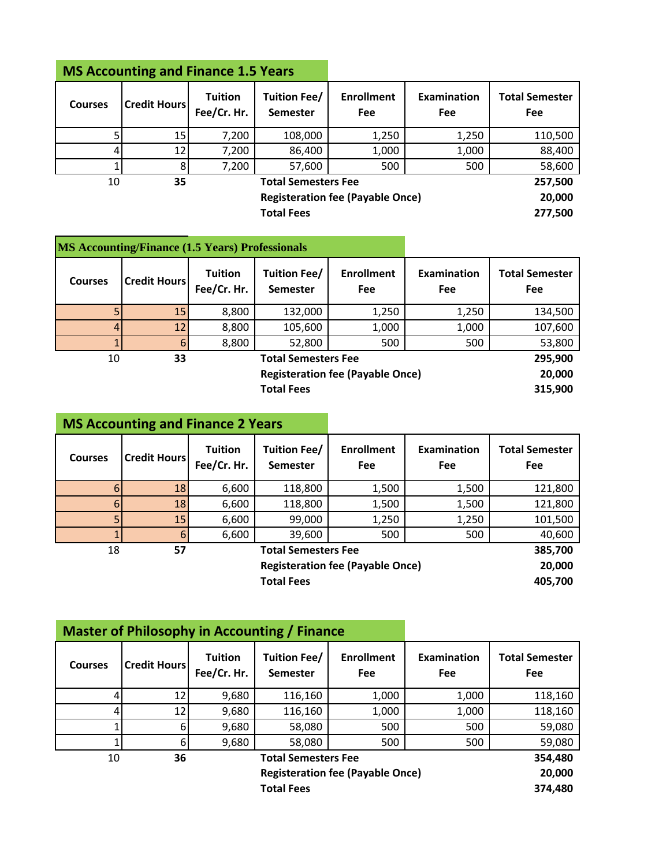## **MS Accounting and Finance 1.5 Years**

| <b>Courses</b> | <b>Credit Hours</b> | <b>Tuition</b><br>Fee/Cr. Hr. | <b>Tuition Fee/</b><br><b>Semester</b>  | <b>Enrollment</b><br><b>Fee</b> | <b>Examination</b><br>Fee | <b>Total Semester</b><br>Fee |
|----------------|---------------------|-------------------------------|-----------------------------------------|---------------------------------|---------------------------|------------------------------|
|                | 15                  | 7,200                         | 108,000                                 | 1,250                           | 110,500                   |                              |
|                | 12 <sub>1</sub>     | 7,200                         | 86,400                                  | 1,000                           | 1,000                     | 88,400                       |
|                | 8                   | 7,200                         | 57,600                                  | 500                             | 500                       | 58,600                       |
| 10             | 35                  |                               | <b>Total Semesters Fee</b>              | 257,500                         |                           |                              |
|                |                     |                               | <b>Registeration fee (Payable Once)</b> |                                 |                           | 20,000                       |
|                |                     |                               | <b>Total Fees</b>                       | 277,500                         |                           |                              |

|                | <b>MS Accounting/Finance (1.5 Years) Professionals</b> |                               |                                         |                                 |                    |                              |  |
|----------------|--------------------------------------------------------|-------------------------------|-----------------------------------------|---------------------------------|--------------------|------------------------------|--|
| <b>Courses</b> | <b>Credit Hours</b>                                    | <b>Tuition</b><br>Fee/Cr. Hr. | Tuition Fee/<br><b>Semester</b>         | <b>Enrollment</b><br><b>Fee</b> | Examination<br>Fee | <b>Total Semester</b><br>Fee |  |
| 5              | 15                                                     | 8,800                         | 132,000                                 | 1,250                           | 1,250              | 134,500                      |  |
| 4              | 12 <sub>1</sub>                                        | 8,800                         | 105,600                                 | 1,000                           | 1,000              | 107,600                      |  |
|                |                                                        | 8,800                         | 52,800                                  | 500                             | 500                | 53,800                       |  |
| 10             | 33                                                     |                               | <b>Total Semesters Fee</b>              |                                 |                    |                              |  |
|                |                                                        |                               | <b>Registeration fee (Payable Once)</b> | 20,000                          |                    |                              |  |
|                |                                                        |                               | <b>Total Fees</b>                       |                                 |                    | 315,900                      |  |

|                | <b>MS Accounting and Finance 2 Years</b> |                               |                                         |                          |                    |                              |  |
|----------------|------------------------------------------|-------------------------------|-----------------------------------------|--------------------------|--------------------|------------------------------|--|
| <b>Courses</b> | <b>Credit Hours</b>                      | <b>Tuition</b><br>Fee/Cr. Hr. | <b>Tuition Fee/</b><br><b>Semester</b>  | <b>Enrollment</b><br>Fee | Examination<br>Fee | <b>Total Semester</b><br>Fee |  |
| 6              | 18                                       | 6,600                         | 118,800                                 | 1,500                    | 1,500              | 121,800                      |  |
| 6              | 18                                       | 6,600                         | 118,800                                 | 1,500                    | 1,500              | 121,800                      |  |
| 5              | 15                                       | 6,600                         | 99,000                                  | 1,250                    | 1,250              | 101,500                      |  |
|                | 6                                        | 6,600                         | 39,600                                  | 500                      | 500                | 40,600                       |  |
| 18             | 57                                       |                               | <b>Total Semesters Fee</b>              |                          |                    |                              |  |
|                |                                          |                               | <b>Registeration fee (Payable Once)</b> |                          |                    |                              |  |
|                |                                          |                               | <b>Total Fees</b>                       |                          |                    | 405,700                      |  |

|                                         | <b>Master of Philosophy in Accounting / Finance</b> |                               |                                        |                          |                    |                              |  |
|-----------------------------------------|-----------------------------------------------------|-------------------------------|----------------------------------------|--------------------------|--------------------|------------------------------|--|
| <b>Courses</b>                          | <b>Credit Hours</b>                                 | <b>Tuition</b><br>Fee/Cr. Hr. | <b>Tuition Fee/</b><br><b>Semester</b> | <b>Enrollment</b><br>Fee | Examination<br>Fee | <b>Total Semester</b><br>Fee |  |
| 4                                       | 12                                                  | 9,680                         | 116,160                                | 1,000                    | 1,000              | 118,160                      |  |
| 4                                       | 12                                                  | 9,680                         | 116,160                                | 1,000                    | 1,000              | 118,160                      |  |
|                                         | 6                                                   | 9,680                         | 58,080                                 | 500                      | 500                | 59,080                       |  |
|                                         | 6                                                   | 9,680                         | 58,080                                 | 500                      | 500                | 59,080                       |  |
| 10                                      | 36                                                  |                               | <b>Total Semesters Fee</b>             |                          |                    |                              |  |
| <b>Registeration fee (Payable Once)</b> |                                                     |                               |                                        |                          |                    | 20,000                       |  |
|                                         |                                                     |                               | <b>Total Fees</b>                      |                          |                    | 374,480                      |  |

÷